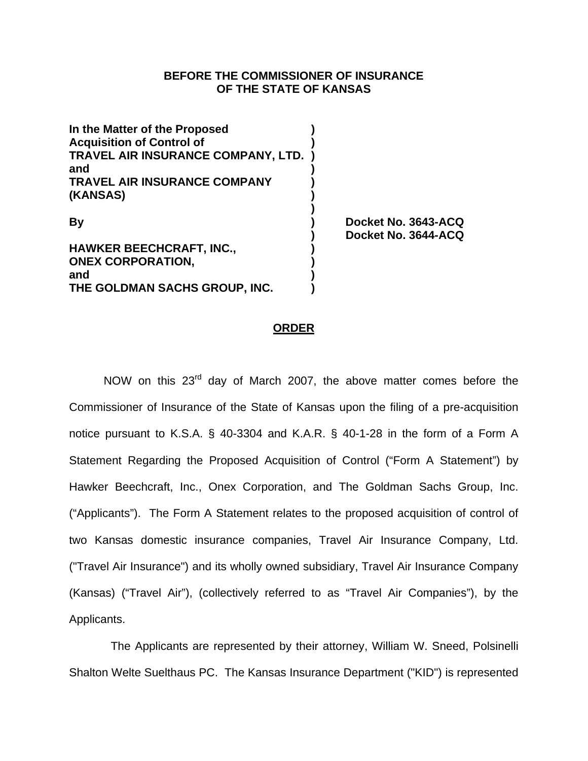## **BEFORE THE COMMISSIONER OF INSURANCE OF THE STATE OF KANSAS**

| In the Matter of the Proposed<br><b>Acquisition of Control of</b> |                                            |
|-------------------------------------------------------------------|--------------------------------------------|
| TRAVEL AIR INSURANCE COMPANY, LTD.<br>and                         |                                            |
| <b>TRAVEL AIR INSURANCE COMPANY</b>                               |                                            |
| (KANSAS)                                                          |                                            |
| <b>By</b>                                                         | Docket No. 3643-ACQ<br>Docket No. 3644-ACQ |
| <b>HAWKER BEECHCRAFT, INC.,</b>                                   |                                            |
| <b>ONEX CORPORATION,</b>                                          |                                            |
| and                                                               |                                            |
| THE GOLDMAN SACHS GROUP, INC.                                     |                                            |

#### **ORDER**

NOW on this 23<sup>rd</sup> day of March 2007, the above matter comes before the Commissioner of Insurance of the State of Kansas upon the filing of a pre-acquisition notice pursuant to K.S.A. § 40-3304 and K.A.R. § 40-1-28 in the form of a Form A Statement Regarding the Proposed Acquisition of Control ("Form A Statement") by Hawker Beechcraft, Inc., Onex Corporation, and The Goldman Sachs Group, Inc. ("Applicants"). The Form A Statement relates to the proposed acquisition of control of two Kansas domestic insurance companies, Travel Air Insurance Company, Ltd. ("Travel Air Insurance") and its wholly owned subsidiary, Travel Air Insurance Company (Kansas) ("Travel Air"), (collectively referred to as "Travel Air Companies"), by the Applicants.

 The Applicants are represented by their attorney, William W. Sneed, Polsinelli Shalton Welte Suelthaus PC. The Kansas Insurance Department ("KID") is represented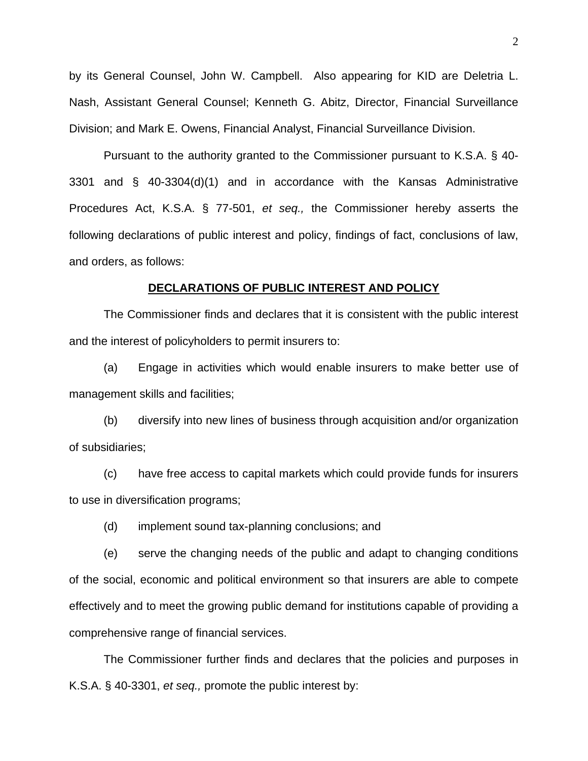by its General Counsel, John W. Campbell. Also appearing for KID are Deletria L. Nash, Assistant General Counsel; Kenneth G. Abitz, Director, Financial Surveillance Division; and Mark E. Owens, Financial Analyst, Financial Surveillance Division.

Pursuant to the authority granted to the Commissioner pursuant to K.S.A. § 40- 3301 and § 40-3304(d)(1) and in accordance with the Kansas Administrative Procedures Act, K.S.A. § 77-501, *et seq.,* the Commissioner hereby asserts the following declarations of public interest and policy, findings of fact, conclusions of law, and orders, as follows:

#### **DECLARATIONS OF PUBLIC INTEREST AND POLICY**

 The Commissioner finds and declares that it is consistent with the public interest and the interest of policyholders to permit insurers to:

(a) Engage in activities which would enable insurers to make better use of management skills and facilities;

(b) diversify into new lines of business through acquisition and/or organization of subsidiaries;

(c) have free access to capital markets which could provide funds for insurers to use in diversification programs;

(d) implement sound tax-planning conclusions; and

(e) serve the changing needs of the public and adapt to changing conditions of the social, economic and political environment so that insurers are able to compete effectively and to meet the growing public demand for institutions capable of providing a comprehensive range of financial services.

The Commissioner further finds and declares that the policies and purposes in K.S.A. § 40-3301, *et seq.,* promote the public interest by: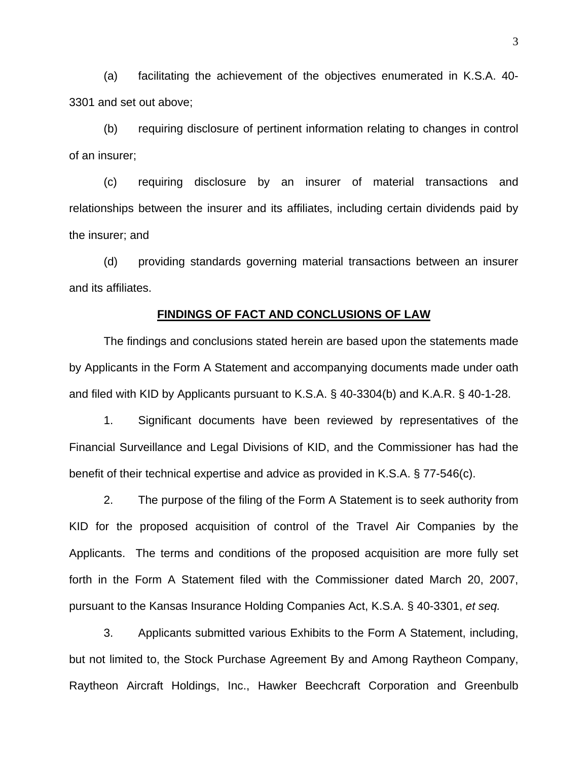(a) facilitating the achievement of the objectives enumerated in K.S.A. 40- 3301 and set out above;

(b) requiring disclosure of pertinent information relating to changes in control of an insurer;

(c) requiring disclosure by an insurer of material transactions and relationships between the insurer and its affiliates, including certain dividends paid by the insurer; and

(d) providing standards governing material transactions between an insurer and its affiliates.

#### **FINDINGS OF FACT AND CONCLUSIONS OF LAW**

The findings and conclusions stated herein are based upon the statements made by Applicants in the Form A Statement and accompanying documents made under oath and filed with KID by Applicants pursuant to K.S.A. § 40-3304(b) and K.A.R. § 40-1-28.

1. Significant documents have been reviewed by representatives of the Financial Surveillance and Legal Divisions of KID, and the Commissioner has had the benefit of their technical expertise and advice as provided in K.S.A. § 77-546(c).

 2. The purpose of the filing of the Form A Statement is to seek authority from KID for the proposed acquisition of control of the Travel Air Companies by the Applicants. The terms and conditions of the proposed acquisition are more fully set forth in the Form A Statement filed with the Commissioner dated March 20, 2007, pursuant to the Kansas Insurance Holding Companies Act, K.S.A. § 40-3301, *et seq.*

 3. Applicants submitted various Exhibits to the Form A Statement, including, but not limited to, the Stock Purchase Agreement By and Among Raytheon Company, Raytheon Aircraft Holdings, Inc., Hawker Beechcraft Corporation and Greenbulb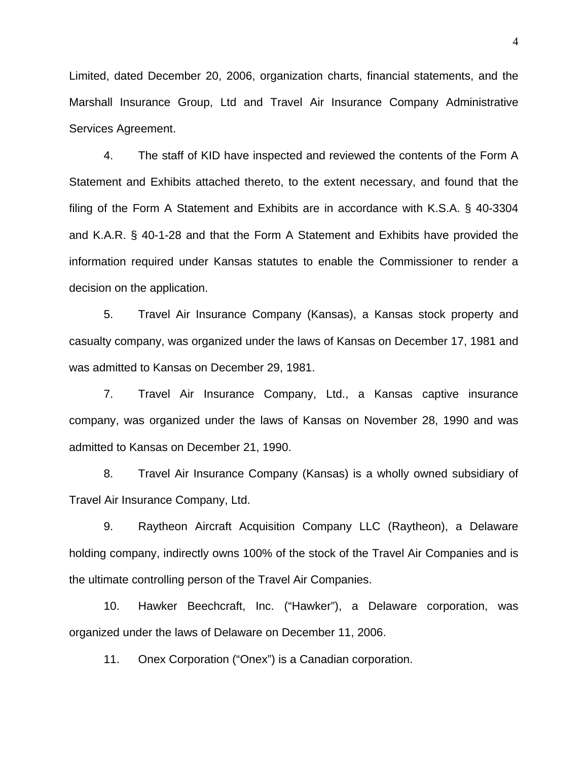Limited, dated December 20, 2006, organization charts, financial statements, and the Marshall Insurance Group, Ltd and Travel Air Insurance Company Administrative Services Agreement.

4. The staff of KID have inspected and reviewed the contents of the Form A Statement and Exhibits attached thereto, to the extent necessary, and found that the filing of the Form A Statement and Exhibits are in accordance with K.S.A. § 40-3304 and K.A.R. § 40-1-28 and that the Form A Statement and Exhibits have provided the information required under Kansas statutes to enable the Commissioner to render a decision on the application.

5. Travel Air Insurance Company (Kansas), a Kansas stock property and casualty company, was organized under the laws of Kansas on December 17, 1981 and was admitted to Kansas on December 29, 1981.

7. Travel Air Insurance Company, Ltd., a Kansas captive insurance company, was organized under the laws of Kansas on November 28, 1990 and was admitted to Kansas on December 21, 1990.

8. Travel Air Insurance Company (Kansas) is a wholly owned subsidiary of Travel Air Insurance Company, Ltd.

9. Raytheon Aircraft Acquisition Company LLC (Raytheon), a Delaware holding company, indirectly owns 100% of the stock of the Travel Air Companies and is the ultimate controlling person of the Travel Air Companies.

10. Hawker Beechcraft, Inc. ("Hawker"), a Delaware corporation, was organized under the laws of Delaware on December 11, 2006.

11. Onex Corporation ("Onex") is a Canadian corporation.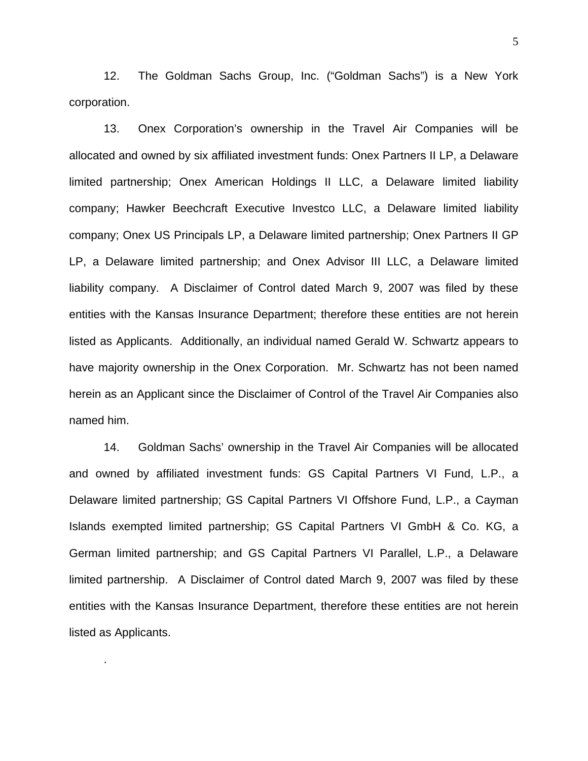12. The Goldman Sachs Group, Inc. ("Goldman Sachs") is a New York corporation.

13. Onex Corporation's ownership in the Travel Air Companies will be allocated and owned by six affiliated investment funds: Onex Partners II LP, a Delaware limited partnership; Onex American Holdings II LLC, a Delaware limited liability company; Hawker Beechcraft Executive Investco LLC, a Delaware limited liability company; Onex US Principals LP, a Delaware limited partnership; Onex Partners II GP LP, a Delaware limited partnership; and Onex Advisor III LLC, a Delaware limited liability company. A Disclaimer of Control dated March 9, 2007 was filed by these entities with the Kansas Insurance Department; therefore these entities are not herein listed as Applicants. Additionally, an individual named Gerald W. Schwartz appears to have majority ownership in the Onex Corporation. Mr. Schwartz has not been named herein as an Applicant since the Disclaimer of Control of the Travel Air Companies also named him.

14. Goldman Sachs' ownership in the Travel Air Companies will be allocated and owned by affiliated investment funds: GS Capital Partners VI Fund, L.P., a Delaware limited partnership; GS Capital Partners VI Offshore Fund, L.P., a Cayman Islands exempted limited partnership; GS Capital Partners VI GmbH & Co. KG, a German limited partnership; and GS Capital Partners VI Parallel, L.P., a Delaware limited partnership. A Disclaimer of Control dated March 9, 2007 was filed by these entities with the Kansas Insurance Department, therefore these entities are not herein listed as Applicants.

.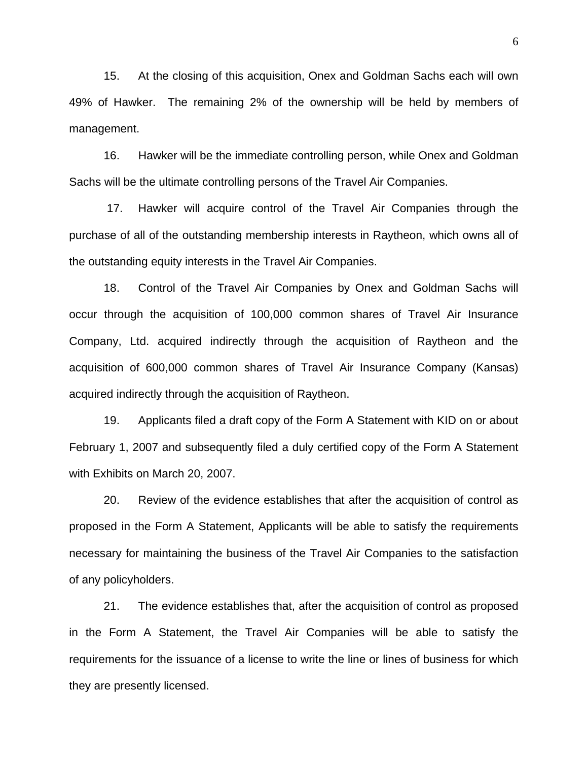15. At the closing of this acquisition, Onex and Goldman Sachs each will own 49% of Hawker. The remaining 2% of the ownership will be held by members of management.

16. Hawker will be the immediate controlling person, while Onex and Goldman Sachs will be the ultimate controlling persons of the Travel Air Companies.

 17. Hawker will acquire control of the Travel Air Companies through the purchase of all of the outstanding membership interests in Raytheon, which owns all of the outstanding equity interests in the Travel Air Companies.

18. Control of the Travel Air Companies by Onex and Goldman Sachs will occur through the acquisition of 100,000 common shares of Travel Air Insurance Company, Ltd. acquired indirectly through the acquisition of Raytheon and the acquisition of 600,000 common shares of Travel Air Insurance Company (Kansas) acquired indirectly through the acquisition of Raytheon.

19. Applicants filed a draft copy of the Form A Statement with KID on or about February 1, 2007 and subsequently filed a duly certified copy of the Form A Statement with Exhibits on March 20, 2007.

20. Review of the evidence establishes that after the acquisition of control as proposed in the Form A Statement, Applicants will be able to satisfy the requirements necessary for maintaining the business of the Travel Air Companies to the satisfaction of any policyholders.

21. The evidence establishes that, after the acquisition of control as proposed in the Form A Statement, the Travel Air Companies will be able to satisfy the requirements for the issuance of a license to write the line or lines of business for which they are presently licensed.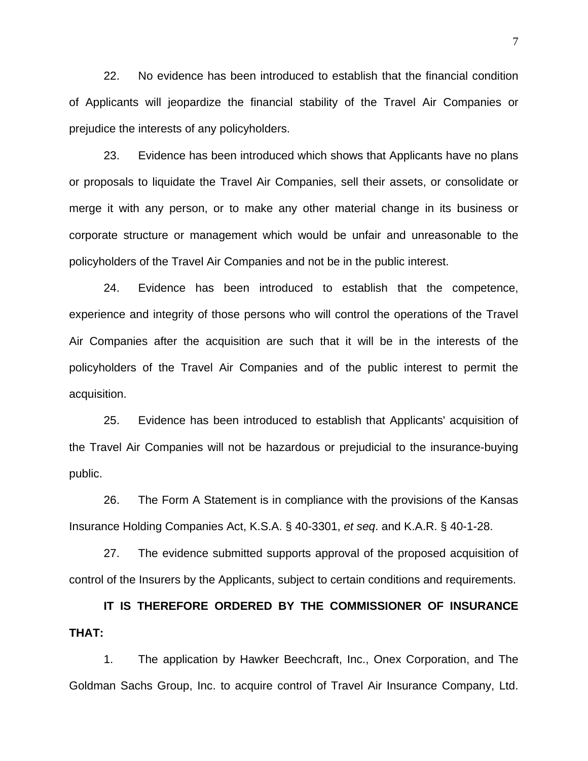22. No evidence has been introduced to establish that the financial condition of Applicants will jeopardize the financial stability of the Travel Air Companies or prejudice the interests of any policyholders.

23. Evidence has been introduced which shows that Applicants have no plans or proposals to liquidate the Travel Air Companies, sell their assets, or consolidate or merge it with any person, or to make any other material change in its business or corporate structure or management which would be unfair and unreasonable to the policyholders of the Travel Air Companies and not be in the public interest.

24. Evidence has been introduced to establish that the competence, experience and integrity of those persons who will control the operations of the Travel Air Companies after the acquisition are such that it will be in the interests of the policyholders of the Travel Air Companies and of the public interest to permit the acquisition.

25. Evidence has been introduced to establish that Applicants' acquisition of the Travel Air Companies will not be hazardous or prejudicial to the insurance-buying public.

26. The Form A Statement is in compliance with the provisions of the Kansas Insurance Holding Companies Act, K.S.A. § 40-3301, *et seq*. and K.A.R. § 40-1-28.

27. The evidence submitted supports approval of the proposed acquisition of control of the Insurers by the Applicants, subject to certain conditions and requirements.

**IT IS THEREFORE ORDERED BY THE COMMISSIONER OF INSURANCE THAT:** 

 1. The application by Hawker Beechcraft, Inc., Onex Corporation, and The Goldman Sachs Group, Inc. to acquire control of Travel Air Insurance Company, Ltd.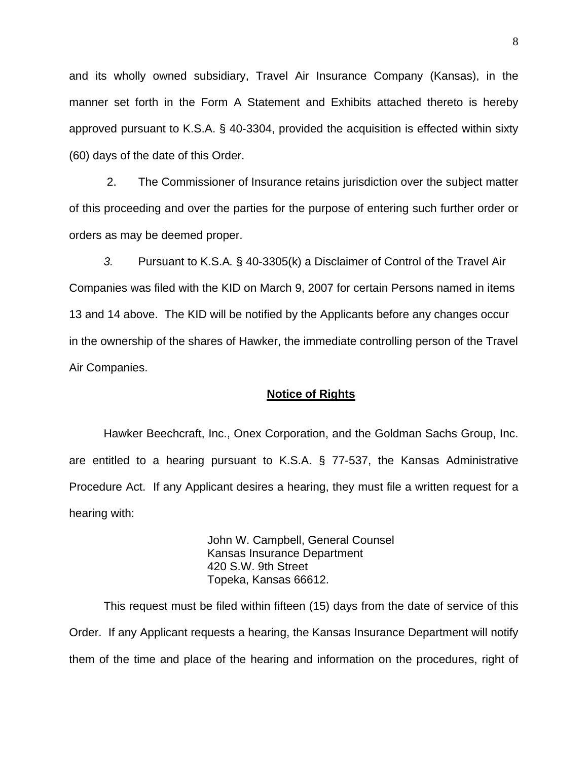and its wholly owned subsidiary, Travel Air Insurance Company (Kansas), in the manner set forth in the Form A Statement and Exhibits attached thereto is hereby approved pursuant to K.S.A. § 40-3304, provided the acquisition is effected within sixty (60) days of the date of this Order.

 2. The Commissioner of Insurance retains jurisdiction over the subject matter of this proceeding and over the parties for the purpose of entering such further order or orders as may be deemed proper.

*3.* Pursuant to K.S.A*.* § 40-3305(k) a Disclaimer of Control of the Travel Air Companies was filed with the KID on March 9, 2007 for certain Persons named in items 13 and 14 above. The KID will be notified by the Applicants before any changes occur in the ownership of the shares of Hawker, the immediate controlling person of the Travel Air Companies.

### **Notice of Rights**

 Hawker Beechcraft, Inc., Onex Corporation, and the Goldman Sachs Group, Inc. are entitled to a hearing pursuant to K.S.A. § 77-537, the Kansas Administrative Procedure Act. If any Applicant desires a hearing, they must file a written request for a hearing with:

> John W. Campbell, General Counsel Kansas Insurance Department 420 S.W. 9th Street Topeka, Kansas 66612.

 This request must be filed within fifteen (15) days from the date of service of this Order. If any Applicant requests a hearing, the Kansas Insurance Department will notify them of the time and place of the hearing and information on the procedures, right of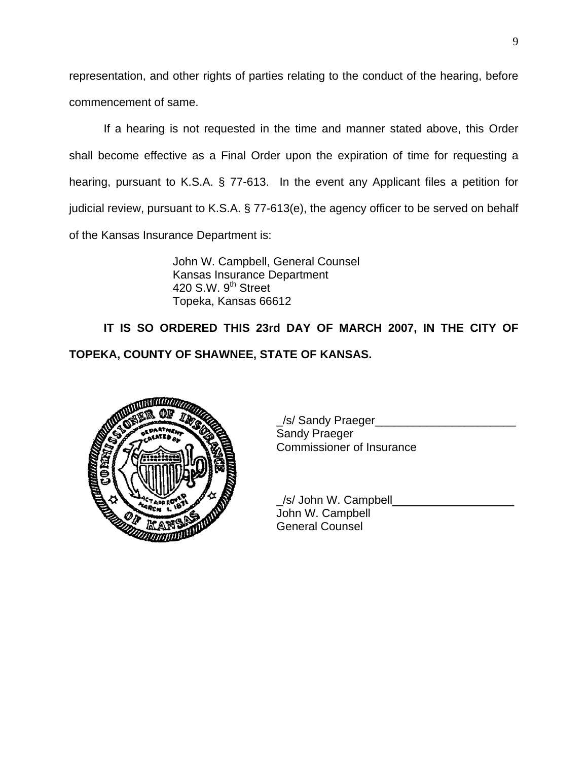representation, and other rights of parties relating to the conduct of the hearing, before commencement of same.

 If a hearing is not requested in the time and manner stated above, this Order shall become effective as a Final Order upon the expiration of time for requesting a hearing, pursuant to K.S.A. § 77-613. In the event any Applicant files a petition for judicial review, pursuant to K.S.A. § 77-613(e), the agency officer to be served on behalf of the Kansas Insurance Department is:

> John W. Campbell, General Counsel Kansas Insurance Department 420 S.W.  $9<sup>th</sup>$  Street Topeka, Kansas 66612

**IT IS SO ORDERED THIS 23rd DAY OF MARCH 2007, IN THE CITY OF TOPEKA, COUNTY OF SHAWNEE, STATE OF KANSAS.** 



\_/s/ Sandy Praeger\_\_\_\_\_\_\_\_\_\_\_\_\_\_\_\_\_\_\_\_\_\_ Sandy Praeger Commissioner of Insurance

 \_/s/ John W. Campbell\_\_\_\_\_\_\_\_\_\_\_\_\_\_\_\_\_\_\_ John W. Campbell General Counsel